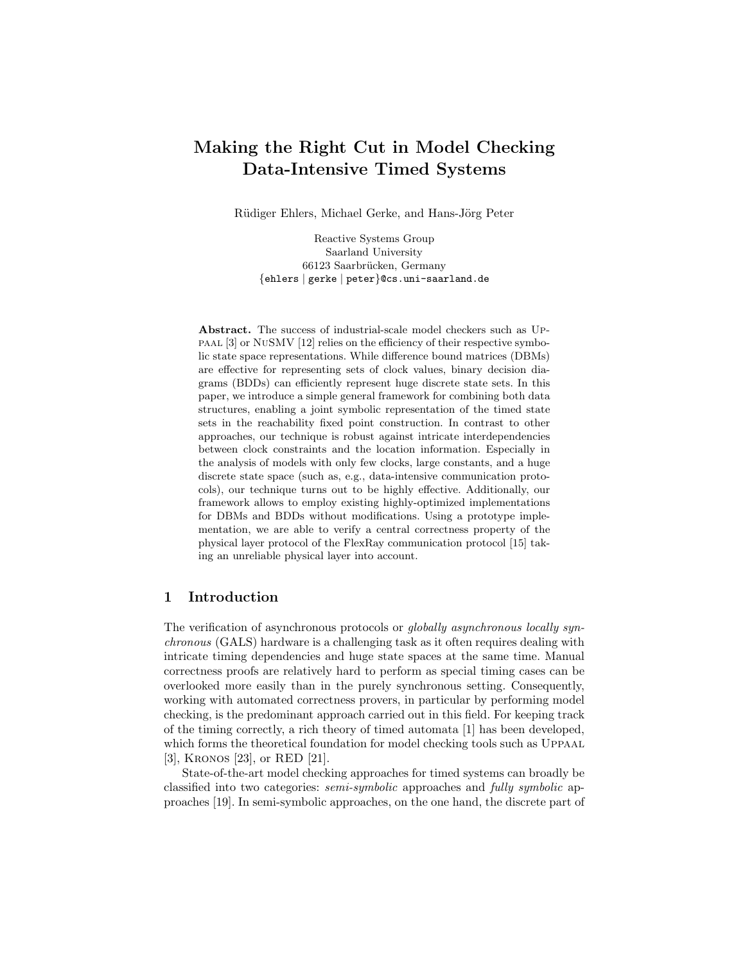# Making the Right Cut in Model Checking Data-Intensive Timed Systems

Rüdiger Ehlers, Michael Gerke, and Hans-Jörg Peter

Reactive Systems Group Saarland University 66123 Saarbrücken, Germany {ehlers | gerke | peter}@cs.uni-saarland.de

Abstract. The success of industrial-scale model checkers such as Uppaal [\[3\]](#page-14-0) or NuSMV [\[12\]](#page-15-0) relies on the efficiency of their respective symbolic state space representations. While difference bound matrices (DBMs) are effective for representing sets of clock values, binary decision diagrams (BDDs) can efficiently represent huge discrete state sets. In this paper, we introduce a simple general framework for combining both data structures, enabling a joint symbolic representation of the timed state sets in the reachability fixed point construction. In contrast to other approaches, our technique is robust against intricate interdependencies between clock constraints and the location information. Especially in the analysis of models with only few clocks, large constants, and a huge discrete state space (such as, e.g., data-intensive communication protocols), our technique turns out to be highly effective. Additionally, our framework allows to employ existing highly-optimized implementations for DBMs and BDDs without modifications. Using a prototype implementation, we are able to verify a central correctness property of the physical layer protocol of the FlexRay communication protocol [\[15\]](#page-15-1) taking an unreliable physical layer into account.

# 1 Introduction

The verification of asynchronous protocols or globally asynchronous locally synchronous (GALS) hardware is a challenging task as it often requires dealing with intricate timing dependencies and huge state spaces at the same time. Manual correctness proofs are relatively hard to perform as special timing cases can be overlooked more easily than in the purely synchronous setting. Consequently, working with automated correctness provers, in particular by performing model checking, is the predominant approach carried out in this field. For keeping track of the timing correctly, a rich theory of timed automata [\[1\]](#page-14-1) has been developed, which forms the theoretical foundation for model checking tools such as UPPAAL [\[3\]](#page-14-0), Kronos [\[23\]](#page-15-2), or RED [\[21\]](#page-15-3).

State-of-the-art model checking approaches for timed systems can broadly be classified into two categories: semi-symbolic approaches and fully symbolic approaches [\[19\]](#page-15-4). In semi-symbolic approaches, on the one hand, the discrete part of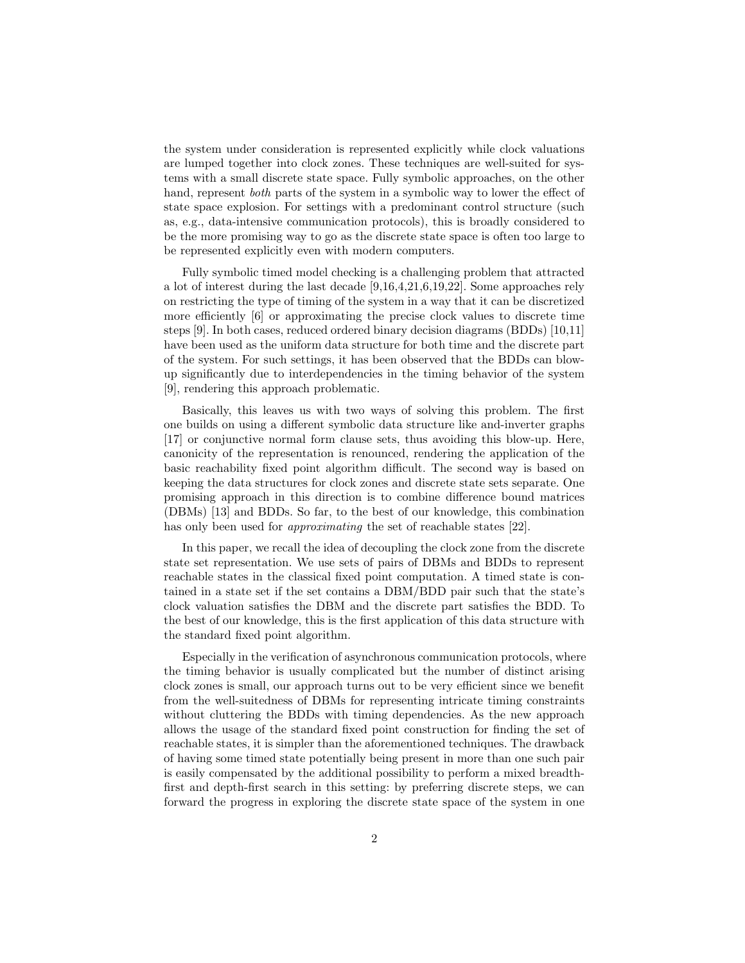the system under consideration is represented explicitly while clock valuations are lumped together into clock zones. These techniques are well-suited for systems with a small discrete state space. Fully symbolic approaches, on the other hand, represent *both* parts of the system in a symbolic way to lower the effect of state space explosion. For settings with a predominant control structure (such as, e.g., data-intensive communication protocols), this is broadly considered to be the more promising way to go as the discrete state space is often too large to be represented explicitly even with modern computers.

Fully symbolic timed model checking is a challenging problem that attracted a lot of interest during the last decade [\[9,](#page-15-5)[16](#page-15-6)[,4,](#page-14-2)[21,](#page-15-3)[6,](#page-15-7)[19](#page-15-4)[,22\]](#page-15-8). Some approaches rely on restricting the type of timing of the system in a way that it can be discretized more efficiently [\[6\]](#page-15-7) or approximating the precise clock values to discrete time steps [\[9\]](#page-15-5). In both cases, reduced ordered binary decision diagrams (BDDs) [\[10,](#page-15-9)[11\]](#page-15-10) have been used as the uniform data structure for both time and the discrete part of the system. For such settings, it has been observed that the BDDs can blowup significantly due to interdependencies in the timing behavior of the system [\[9\]](#page-15-5), rendering this approach problematic.

Basically, this leaves us with two ways of solving this problem. The first one builds on using a different symbolic data structure like and-inverter graphs [\[17\]](#page-15-11) or conjunctive normal form clause sets, thus avoiding this blow-up. Here, canonicity of the representation is renounced, rendering the application of the basic reachability fixed point algorithm difficult. The second way is based on keeping the data structures for clock zones and discrete state sets separate. One promising approach in this direction is to combine difference bound matrices (DBMs) [\[13\]](#page-15-12) and BDDs. So far, to the best of our knowledge, this combination has only been used for *approximating* the set of reachable states [\[22\]](#page-15-8).

In this paper, we recall the idea of decoupling the clock zone from the discrete state set representation. We use sets of pairs of DBMs and BDDs to represent reachable states in the classical fixed point computation. A timed state is contained in a state set if the set contains a DBM/BDD pair such that the state's clock valuation satisfies the DBM and the discrete part satisfies the BDD. To the best of our knowledge, this is the first application of this data structure with the standard fixed point algorithm.

Especially in the verification of asynchronous communication protocols, where the timing behavior is usually complicated but the number of distinct arising clock zones is small, our approach turns out to be very efficient since we benefit from the well-suitedness of DBMs for representing intricate timing constraints without cluttering the BDDs with timing dependencies. As the new approach allows the usage of the standard fixed point construction for finding the set of reachable states, it is simpler than the aforementioned techniques. The drawback of having some timed state potentially being present in more than one such pair is easily compensated by the additional possibility to perform a mixed breadthfirst and depth-first search in this setting: by preferring discrete steps, we can forward the progress in exploring the discrete state space of the system in one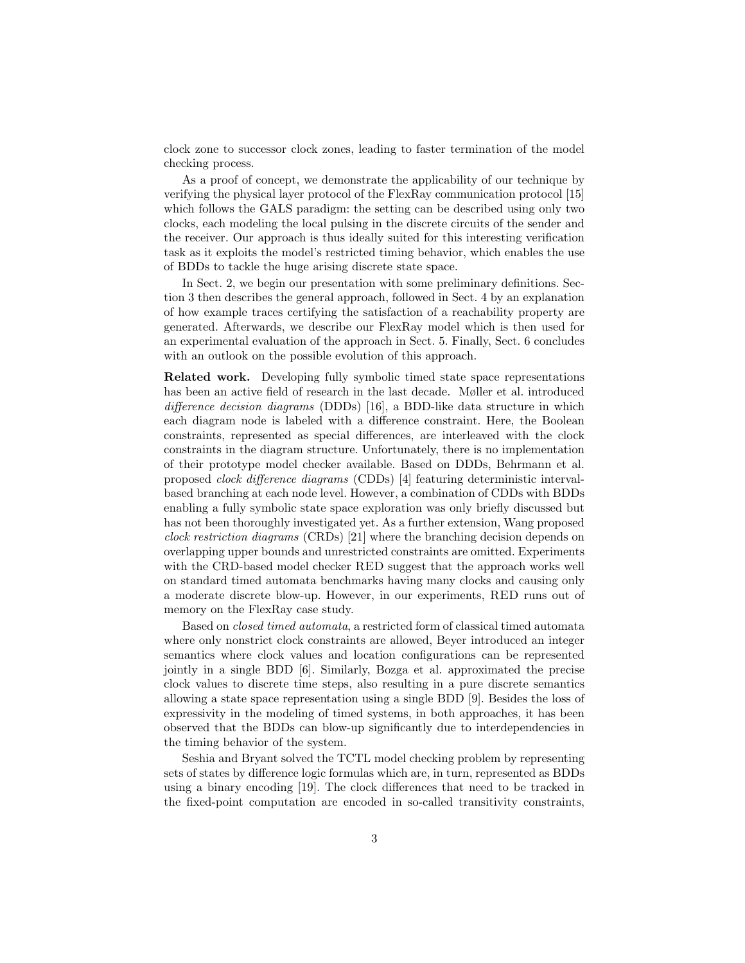clock zone to successor clock zones, leading to faster termination of the model checking process.

As a proof of concept, we demonstrate the applicability of our technique by verifying the physical layer protocol of the FlexRay communication protocol [\[15\]](#page-15-1) which follows the GALS paradigm: the setting can be described using only two clocks, each modeling the local pulsing in the discrete circuits of the sender and the receiver. Our approach is thus ideally suited for this interesting verification task as it exploits the model's restricted timing behavior, which enables the use of BDDs to tackle the huge arising discrete state space.

In Sect. [2,](#page-3-0) we begin our presentation with some preliminary definitions. Section [3](#page-6-0) then describes the general approach, followed in Sect. [4](#page-10-0) by an explanation of how example traces certifying the satisfaction of a reachability property are generated. Afterwards, we describe our FlexRay model which is then used for an experimental evaluation of the approach in Sect. [5.](#page-11-0) Finally, Sect. [6](#page-14-3) concludes with an outlook on the possible evolution of this approach.

Related work. Developing fully symbolic timed state space representations has been an active field of research in the last decade. Møller et al. introduced difference decision diagrams (DDDs) [\[16\]](#page-15-6), a BDD-like data structure in which each diagram node is labeled with a difference constraint. Here, the Boolean constraints, represented as special differences, are interleaved with the clock constraints in the diagram structure. Unfortunately, there is no implementation of their prototype model checker available. Based on DDDs, Behrmann et al. proposed clock difference diagrams (CDDs) [\[4\]](#page-14-2) featuring deterministic intervalbased branching at each node level. However, a combination of CDDs with BDDs enabling a fully symbolic state space exploration was only briefly discussed but has not been thoroughly investigated yet. As a further extension, Wang proposed clock restriction diagrams (CRDs) [\[21\]](#page-15-3) where the branching decision depends on overlapping upper bounds and unrestricted constraints are omitted. Experiments with the CRD-based model checker RED suggest that the approach works well on standard timed automata benchmarks having many clocks and causing only a moderate discrete blow-up. However, in our experiments, RED runs out of memory on the FlexRay case study.

Based on closed timed automata, a restricted form of classical timed automata where only nonstrict clock constraints are allowed, Beyer introduced an integer semantics where clock values and location configurations can be represented jointly in a single BDD [\[6\]](#page-15-7). Similarly, Bozga et al. approximated the precise clock values to discrete time steps, also resulting in a pure discrete semantics allowing a state space representation using a single BDD [\[9\]](#page-15-5). Besides the loss of expressivity in the modeling of timed systems, in both approaches, it has been observed that the BDDs can blow-up significantly due to interdependencies in the timing behavior of the system.

Seshia and Bryant solved the TCTL model checking problem by representing sets of states by difference logic formulas which are, in turn, represented as BDDs using a binary encoding [\[19\]](#page-15-4). The clock differences that need to be tracked in the fixed-point computation are encoded in so-called transitivity constraints,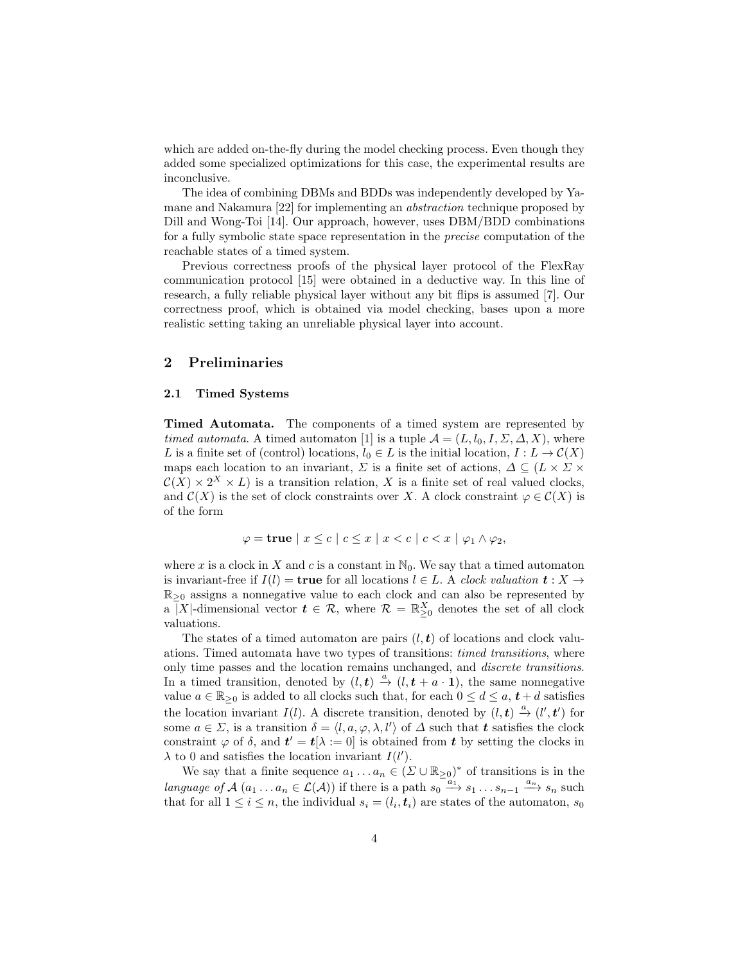which are added on-the-fly during the model checking process. Even though they added some specialized optimizations for this case, the experimental results are inconclusive.

The idea of combining DBMs and BDDs was independently developed by Yamane and Nakamura [\[22\]](#page-15-8) for implementing an abstraction technique proposed by Dill and Wong-Toi [\[14\]](#page-15-13). Our approach, however, uses DBM/BDD combinations for a fully symbolic state space representation in the precise computation of the reachable states of a timed system.

Previous correctness proofs of the physical layer protocol of the FlexRay communication protocol [\[15\]](#page-15-1) were obtained in a deductive way. In this line of research, a fully reliable physical layer without any bit flips is assumed [\[7\]](#page-15-14). Our correctness proof, which is obtained via model checking, bases upon a more realistic setting taking an unreliable physical layer into account.

# <span id="page-3-0"></span>2 Preliminaries

### 2.1 Timed Systems

Timed Automata. The components of a timed system are represented by timed automata. A timed automaton [\[1\]](#page-14-1) is a tuple  $\mathcal{A} = (L, l_0, I, \Sigma, \Delta, X)$ , where L is a finite set of (control) locations,  $l_0 \in L$  is the initial location,  $I: L \to C(X)$ maps each location to an invariant,  $\Sigma$  is a finite set of actions,  $\Delta \subseteq (L \times \Sigma) \times$  $\mathcal{C}(X) \times 2^X \times L$  is a transition relation, X is a finite set of real valued clocks, and  $\mathcal{C}(X)$  is the set of clock constraints over X. A clock constraint  $\varphi \in \mathcal{C}(X)$  is of the form

$$
\varphi = \mathbf{true} \mid x \leq c \mid c \leq x \mid x < c \mid c < x \mid \varphi_1 \wedge \varphi_2,
$$

where x is a clock in X and c is a constant in  $\mathbb{N}_0$ . We say that a timed automaton is invariant-free if  $I(l) =$  true for all locations  $l \in L$ . A clock valuation  $t : X \rightarrow$  $\mathbb{R}_{\geq 0}$  assigns a nonnegative value to each clock and can also be represented by a  $|X|$ -dimensional vector  $t \in \mathcal{R}$ , where  $\mathcal{R} = \mathbb{R}^X_{\geq 0}$  denotes the set of all clock valuations.

The states of a timed automaton are pairs  $(l, t)$  of locations and clock valuations. Timed automata have two types of transitions: timed transitions, where only time passes and the location remains unchanged, and discrete transitions. In a timed transition, denoted by  $(l, t) \stackrel{a}{\rightarrow} (l, t + a \cdot 1)$ , the same nonnegative value  $a \in \mathbb{R}_{\geq 0}$  is added to all clocks such that, for each  $0 \leq d \leq a, t + d$  satisfies the location invariant  $I(l)$ . A discrete transition, denoted by  $(l, t) \stackrel{a}{\rightarrow} (l', t')$  for some  $a \in \Sigma$ , is a transition  $\delta = \langle l, a, \varphi, \lambda, l' \rangle$  of  $\Delta$  such that t satisfies the clock constraint  $\varphi$  of  $\delta$ , and  $t' = t[\lambda := 0]$  is obtained from t by setting the clocks in  $\lambda$  to 0 and satisfies the location invariant  $I(l')$ .

We say that a finite sequence  $a_1 \ldots a_n \in (\Sigma \cup \mathbb{R}_{\geq 0})^*$  of transitions is in the language of  $\mathcal{A}$   $(a_1 \ldots a_n \in \mathcal{L}(\mathcal{A}))$  if there is a path  $s_0 \xrightarrow{a_1} s_1 \ldots s_{n-1} \xrightarrow{a_n} s_n$  such that for all  $1 \leq i \leq n$ , the individual  $s_i = (l_i, t_i)$  are states of the automaton,  $s_0$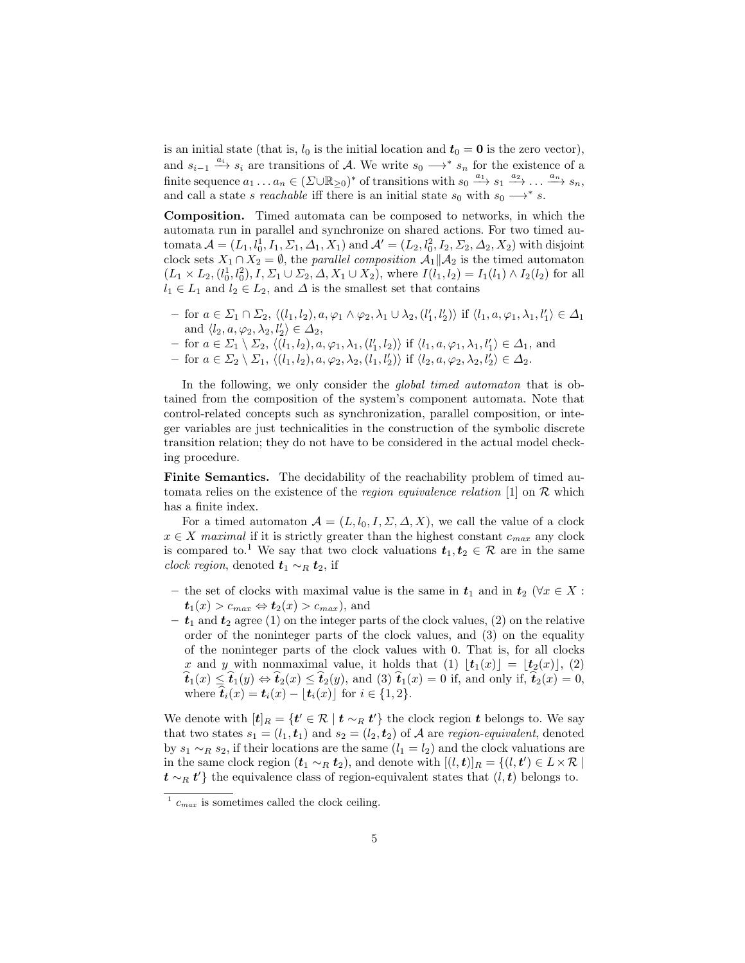is an initial state (that is,  $l_0$  is the initial location and  $t_0 = 0$  is the zero vector), and  $s_{i-1} \stackrel{a_i}{\longrightarrow} s_i$  are transitions of A. We write  $s_0 \longrightarrow^* s_n$  for the existence of a finite sequence  $a_1 \dots a_n \in (\Sigma \cup \mathbb{R}_{\geq 0})^*$  of transitions with  $s_0 \xrightarrow{a_1} s_1 \xrightarrow{a_2} \dots \xrightarrow{a_n} s_n$ , and call a state s reachable iff there is an initial state  $s_0$  with  $s_0 \longrightarrow^* s$ .

Composition. Timed automata can be composed to networks, in which the automata run in parallel and synchronize on shared actions. For two timed automata  $\mathcal{A} = (L_1, l_0^1, I_1, \Sigma_1, \Delta_1, X_1)$  and  $\mathcal{A}' = (L_2, l_0^2, I_2, \Sigma_2, \Delta_2, X_2)$  with disjoint clock sets  $X_1 \cap X_2 = \emptyset$ , the *parallel composition*  $\mathcal{A}_1||\mathcal{A}_2$  is the timed automaton  $(L_1 \times L_2, (l_0^1, l_0^2), I, \Sigma_1 \cup \Sigma_2, \Delta, X_1 \cup X_2)$ , where  $I(l_1, l_2) = I_1(l_1) \wedge I_2(l_2)$  for all  $l_1 \in L_1$  and  $l_2 \in L_2$ , and  $\Delta$  is the smallest set that contains

- $-$  for  $a \in \Sigma_1 \cap \Sigma_2$ ,  $\langle (l_1, l_2), a, \varphi_1 \wedge \varphi_2, \lambda_1 \cup \lambda_2, (l'_1, l'_2) \rangle$  if  $\langle l_1, a, \varphi_1, \lambda_1, l'_1 \rangle \in \Delta_1$ and  $\langle l_2, a, \varphi_2, \lambda_2, l'_2 \rangle \in \Delta_2$ ,
- for  $a \in \Sigma_1 \setminus \Sigma_2$ ,  $\langle (l_1, l_2), a, \varphi_1, \lambda_1, (l'_1, l_2) \rangle$  if  $\langle l_1, a, \varphi_1, \lambda_1, l'_1 \rangle \in \Delta_1$ , and
- $-$  for  $a \in \Sigma_2 \setminus \Sigma_1$ ,  $\langle (l_1, l_2), a, \varphi_2, \lambda_2, (l_1, l'_2) \rangle$  if  $\langle l_2, a, \varphi_2, \lambda_2, l'_2 \rangle \in \Delta_2$ .

In the following, we only consider the *global timed automaton* that is obtained from the composition of the system's component automata. Note that control-related concepts such as synchronization, parallel composition, or integer variables are just technicalities in the construction of the symbolic discrete transition relation; they do not have to be considered in the actual model checking procedure.

Finite Semantics. The decidability of the reachability problem of timed automata relies on the existence of the *region equivalence relation* [\[1\]](#page-14-1) on  $\mathcal{R}$  which has a finite index.

For a timed automaton  $\mathcal{A} = (L, l_0, I, \Sigma, \Delta, X)$ , we call the value of a clock  $x \in X$  maximal if it is strictly greater than the highest constant  $c_{max}$  any clock is compared to.<sup>[1](#page-4-0)</sup> We say that two clock valuations  $t_1, t_2 \in \mathcal{R}$  are in the same *clock region*, denoted  $t_1 \sim_R t_2$ , if

- the set of clocks with maximal value is the same in  $t_1$  and in  $t_2$  ( $\forall x \in X$ :  $t_1(x) > c_{max} \Leftrightarrow t_2(x) > c_{max}$ , and
- $t_1$  and  $t_2$  agree (1) on the integer parts of the clock values, (2) on the relative order of the noninteger parts of the clock values, and (3) on the equality of the noninteger parts of the clock values with 0. That is, for all clocks x and y with nonmaximal value, it holds that (1)  $[t_1(x)] = [t_2(x)]$ , (2)  $\widehat{\boldsymbol{t}}_1(x) \leq \widehat{\boldsymbol{t}}_1(y) \Leftrightarrow \widehat{\boldsymbol{t}}_2(x) \leq \widehat{\boldsymbol{t}}_2(y)$ , and (3)  $\widehat{\boldsymbol{t}}_1(x) = 0$  if, and only if,  $\widehat{\boldsymbol{t}}_2(x) = 0$ , where  $\hat{\boldsymbol{t}}_i(x) = \boldsymbol{t}_i(x) - \lfloor \boldsymbol{t}_i(x) \rfloor$  for  $i \in \{1, 2\}$ .

We denote with  $[t]_R = \{ t' \in \mathcal{R} \mid t \sim_R t' \}$  the clock region  $t$  belongs to. We say that two states  $s_1 = (l_1, t_1)$  and  $s_2 = (l_2, t_2)$  of A are region-equivalent, denoted by  $s_1 \sim_R s_2$ , if their locations are the same  $(l_1 = l_2)$  and the clock valuations are in the same clock region  $(t_1 \sim_R t_2)$ , and denote with  $[(l, t)]_R = \{(l, t') \in L \times R \mid$  $\mathbf{t} \sim_R \mathbf{t}'$ } the equivalence class of region-equivalent states that  $(l, t)$  belongs to.

<span id="page-4-0"></span> $\frac{1}{1}$   $c_{max}$  is sometimes called the clock ceiling.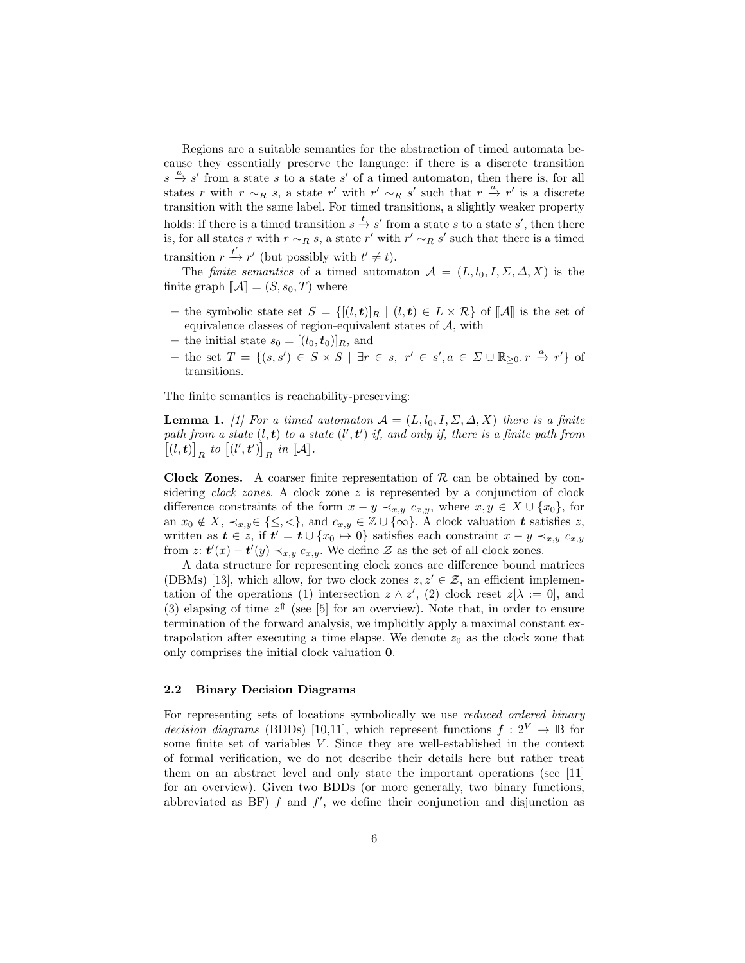Regions are a suitable semantics for the abstraction of timed automata because they essentially preserve the language: if there is a discrete transition  $s \stackrel{a}{\rightarrow} s'$  from a state s to a state s' of a timed automaton, then there is, for all states r with  $r \sim_R s$ , a state r' with  $r' \sim_R s'$  such that  $r \stackrel{a}{\rightarrow} r'$  is a discrete transition with the same label. For timed transitions, a slightly weaker property holds: if there is a timed transition  $s \stackrel{t}{\rightarrow} s'$  from a state s to a state s', then there is, for all states r with  $r \sim_R s$ , a state r' with  $r' \sim_R s'$  such that there is a timed transition  $r \stackrel{t'}{\rightarrow} r'$  (but possibly with  $t' \neq t$ ).

The finite semantics of a timed automaton  $\mathcal{A} = (L, l_0, I, \Sigma, \Delta, X)$  is the finite graph  $\llbracket \mathcal{A} \rrbracket = (S, s_0, T)$  where

- the symbolic state set  $S = \{[(l, t)]_R | (l, t) \in L \times \mathcal{R}\}\$ of  $[\![A]\!]$  is the set of equivalence classes of region-equivalent states of  $A$ , with
- the initial state  $s_0 = [(l_0, t_0)]_R$ , and
- the set  $T = \{(s, s') \in S \times S \mid \exists r \in s, r' \in s', a \in \Sigma \cup \mathbb{R}_{\geq 0}. r \stackrel{a}{\to} r'\}$  of transitions.

The finite semantics is reachability-preserving:

**Lemma 1.** [\[1\]](#page-14-1) For a timed automaton  $A = (L, l_0, I, \Sigma, \Delta, X)$  there is a finite path from a state  $(l, t)$  to a state  $(l', t')$  if, and only if, there is a finite path from  $[(l, t)]_R$  to  $[(l', t')]_R$  in  $[\![A]\!]$ .

Clock Zones. A coarser finite representation of  $\mathcal R$  can be obtained by considering *clock zones*. A clock zone  $z$  is represented by a conjunction of clock difference constraints of the form  $x - y \prec_{x,y} c_{x,y}$ , where  $x, y \in X \cup \{x_0\}$ , for an  $x_0 \notin X$ ,  $\prec_{x,y} \in \{\leq, <\},\$ and  $c_{x,y} \in \mathbb{Z} \cup \{\infty\}$ . A clock valuation t satisfies z, written as  $t \in \overline{z}$ , if  $t' = t \cup \{x_0 \mapsto 0\}$  satisfies each constraint  $x - y \prec_{x,y} c_{x,y}$ from z:  $t'(x) - t'(y) \prec_{x,y} c_{x,y}$ . We define  $\mathcal Z$  as the set of all clock zones.

A data structure for representing clock zones are difference bound matrices (DBMs) [\[13\]](#page-15-12), which allow, for two clock zones  $z, z' \in \mathcal{Z}$ , an efficient implementation of the operations (1) intersection  $z \wedge z'$ , (2) clock reset  $z[\lambda := 0]$ , and (3) elapsing of time  $z^{\uparrow}$  (see [\[5\]](#page-14-4) for an overview). Note that, in order to ensure termination of the forward analysis, we implicitly apply a maximal constant extrapolation after executing a time elapse. We denote  $z_0$  as the clock zone that only comprises the initial clock valuation 0.

### 2.2 Binary Decision Diagrams

For representing sets of locations symbolically we use reduced ordered binary decision diagrams (BDDs) [\[10,](#page-15-9)[11\]](#page-15-10), which represent functions  $f: 2^V \rightarrow \mathbb{B}$  for some finite set of variables  $V$ . Since they are well-established in the context of formal verification, we do not describe their details here but rather treat them on an abstract level and only state the important operations (see [\[11\]](#page-15-10) for an overview). Given two BDDs (or more generally, two binary functions, abbreviated as BF)  $f$  and  $f'$ , we define their conjunction and disjunction as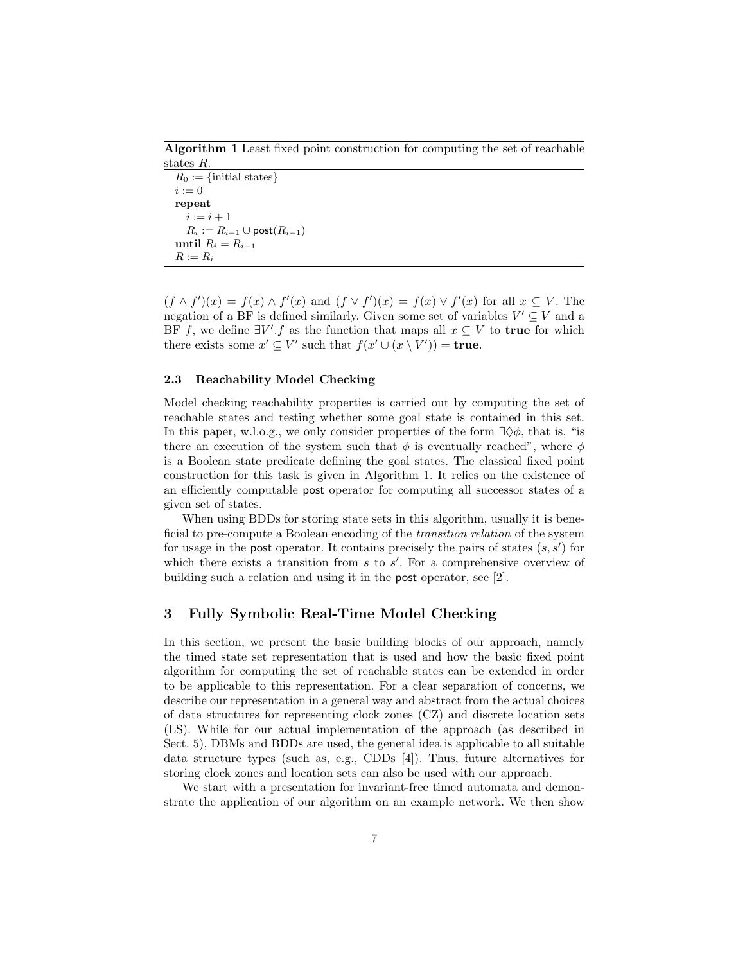Algorithm 1 Least fixed point construction for computing the set of reachable states R.

 $R_0 := \{\text{initial states}\}\$  $i := 0$ repeat  $i := i + 1$  $R_i := R_{i-1} \cup \text{post}(R_{i-1})$ until  $R_i = R_{i-1}$  $R := R_i$ 

<span id="page-6-1"></span> $(f \wedge f')(x) = f(x) \wedge f'(x)$  and  $(f \vee f')(x) = f(x) \vee f'(x)$  for all  $x \subseteq V$ . The negation of a BF is defined similarly. Given some set of variables  $V' \subseteq V$  and a BF f, we define  $\exists V'.f$  as the function that maps all  $x \subseteq V$  to true for which there exists some  $x' \subseteq V'$  such that  $f(x' \cup (x \setminus V')) =$  true.

# 2.3 Reachability Model Checking

Model checking reachability properties is carried out by computing the set of reachable states and testing whether some goal state is contained in this set. In this paper, w.l.o.g., we only consider properties of the form  $\exists \Diamond \phi$ , that is, "is there an execution of the system such that  $\phi$  is eventually reached", where  $\phi$ is a Boolean state predicate defining the goal states. The classical fixed point construction for this task is given in Algorithm [1.](#page-6-1) It relies on the existence of an efficiently computable post operator for computing all successor states of a given set of states.

When using BDDs for storing state sets in this algorithm, usually it is beneficial to pre-compute a Boolean encoding of the transition relation of the system for usage in the **post** operator. It contains precisely the pairs of states  $(s, s')$  for which there exists a transition from  $s$  to  $s'$ . For a comprehensive overview of building such a relation and using it in the post operator, see [\[2\]](#page-14-5).

# <span id="page-6-0"></span>3 Fully Symbolic Real-Time Model Checking

In this section, we present the basic building blocks of our approach, namely the timed state set representation that is used and how the basic fixed point algorithm for computing the set of reachable states can be extended in order to be applicable to this representation. For a clear separation of concerns, we describe our representation in a general way and abstract from the actual choices of data structures for representing clock zones (CZ) and discrete location sets (LS). While for our actual implementation of the approach (as described in Sect. [5\)](#page-11-0), DBMs and BDDs are used, the general idea is applicable to all suitable data structure types (such as, e.g., CDDs [\[4\]](#page-14-2)). Thus, future alternatives for storing clock zones and location sets can also be used with our approach.

We start with a presentation for invariant-free timed automata and demonstrate the application of our algorithm on an example network. We then show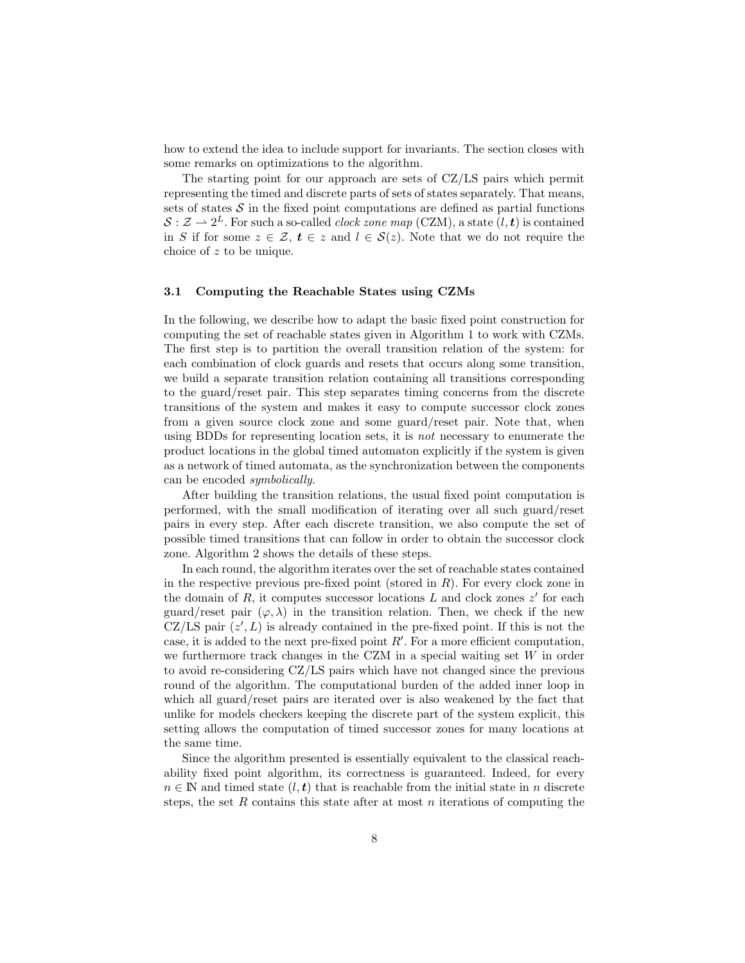how to extend the idea to include support for invariants. The section closes with some remarks on optimizations to the algorithm.

The starting point for our approach are sets of CZ/LS pairs which permit representing the timed and discrete parts of sets of states separately. That means, sets of states  $S$  in the fixed point computations are defined as partial functions  $S: \mathcal{Z} \to 2^L$ . For such a so-called *clock zone map* (CZM), a state  $(l, t)$  is contained in S if for some  $z \in \mathcal{Z}$ ,  $t \in z$  and  $l \in \mathcal{S}(z)$ . Note that we do not require the choice of z to be unique.

#### 3.1 Computing the Reachable States using CZMs

In the following, we describe how to adapt the basic fixed point construction for computing the set of reachable states given in Algorithm [1](#page-6-1) to work with CZMs. The first step is to partition the overall transition relation of the system: for each combination of clock guards and resets that occurs along some transition, we build a separate transition relation containing all transitions corresponding to the guard/reset pair. This step separates timing concerns from the discrete transitions of the system and makes it easy to compute successor clock zones from a given source clock zone and some guard/reset pair. Note that, when using BDDs for representing location sets, it is not necessary to enumerate the product locations in the global timed automaton explicitly if the system is given as a network of timed automata, as the synchronization between the components can be encoded symbolically.

After building the transition relations, the usual fixed point computation is performed, with the small modification of iterating over all such guard/reset pairs in every step. After each discrete transition, we also compute the set of possible timed transitions that can follow in order to obtain the successor clock zone. Algorithm [2](#page-8-0) shows the details of these steps.

In each round, the algorithm iterates over the set of reachable states contained in the respective previous pre-fixed point (stored in  $R$ ). For every clock zone in the domain of  $R$ , it computes successor locations  $L$  and clock zones  $z'$  for each guard/reset pair  $(\varphi, \lambda)$  in the transition relation. Then, we check if the new  $CZ/LS$  pair  $(z', L)$  is already contained in the pre-fixed point. If this is not the case, it is added to the next pre-fixed point  $R'$ . For a more efficient computation, we furthermore track changes in the CZM in a special waiting set W in order to avoid re-considering CZ/LS pairs which have not changed since the previous round of the algorithm. The computational burden of the added inner loop in which all guard/reset pairs are iterated over is also weakened by the fact that unlike for models checkers keeping the discrete part of the system explicit, this setting allows the computation of timed successor zones for many locations at the same time.

Since the algorithm presented is essentially equivalent to the classical reachability fixed point algorithm, its correctness is guaranteed. Indeed, for every  $n \in \mathbb{N}$  and timed state  $(l, t)$  that is reachable from the initial state in n discrete steps, the set R contains this state after at most n iterations of computing the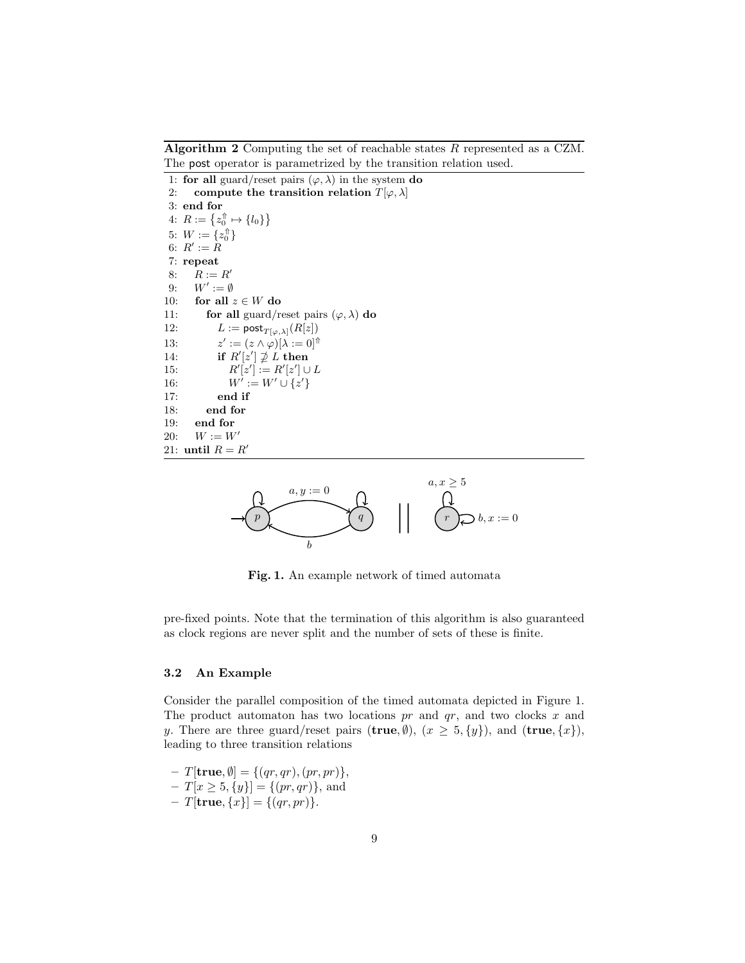Algorithm 2 Computing the set of reachable states  $R$  represented as a CZM. The post operator is parametrized by the transition relation used.

1: for all guard/reset pairs  $(\varphi, \lambda)$  in the system do 2: compute the transition relation  $T[\varphi, \lambda]$ 3: end for 4:  $R := \{z_0^{\uparrow} \mapsto \{l_0\}\}\$ 5:  $W := \{z_0^{\uparrow\uparrow}\}\$ 6:  $R' := R$ 7: repeat 8:  $R := R'$ 9:  $W' := \emptyset$ 10: for all  $z \in W$  do 11: **for all** guard/reset pairs  $(\varphi, \lambda)$  **do** 12:  $L := \text{post}_{T[\varphi,\lambda]}(R[z])$  $13:$  $\alpha' := (z \wedge \varphi)[\lambda := 0]^\Uparrow$ 14: if  $R'[z'] \not\supseteq L$  then 15:  $\mathcal{U}[z'] := R'[z'] \cup L$ 16:  $W' := W' \cup \{z'\}$ 17: end if 18: end for 19: end for 20:  $W := W'$ 21: until  $R = R'$ 

<span id="page-8-0"></span>

<span id="page-8-1"></span>Fig. 1. An example network of timed automata

pre-fixed points. Note that the termination of this algorithm is also guaranteed as clock regions are never split and the number of sets of these is finite.

### 3.2 An Example

Consider the parallel composition of the timed automata depicted in Figure [1.](#page-8-1) The product automaton has two locations  $pr$  and  $qr$ , and two clocks x and y. There are three guard/reset pairs (true,  $\emptyset$ ),  $(x \geq 5, \{y\})$ , and (true,  $\{x\}$ ), leading to three transition relations

 $-T[$ **true**,  $\emptyset$   $] = \{(qr, qr), (pr, pr)\},\$  $-T[x \geq 5, \{y\}] = \{(pr, qr)\},\$ and –  $T[$ **true**,  ${x}$ ] = { $(qr, pr)$  }.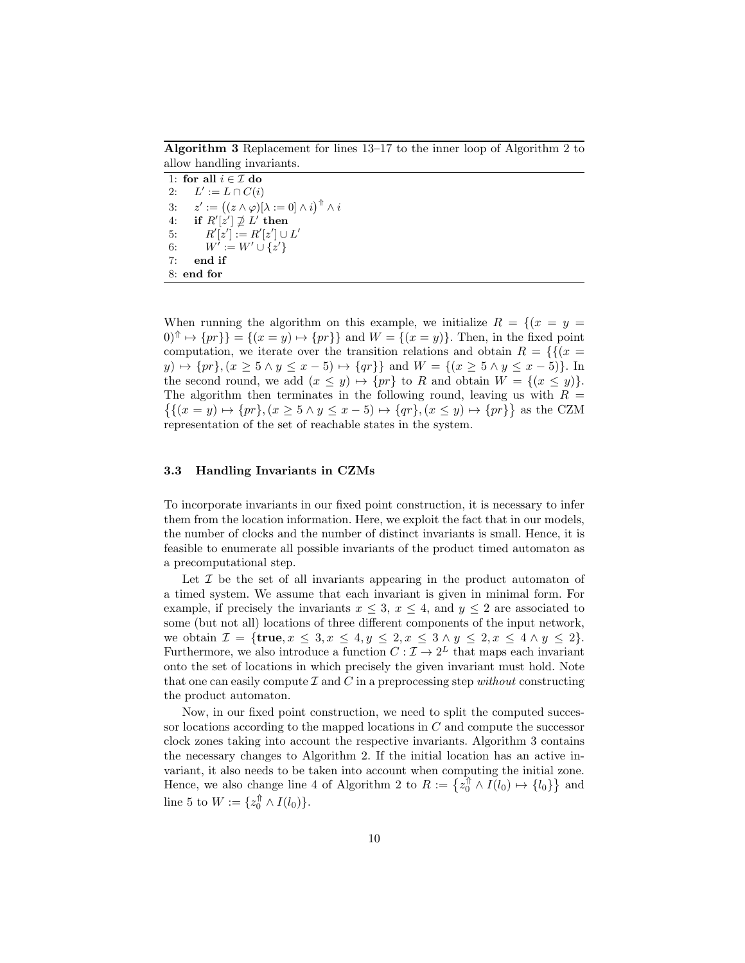Algorithm 3 Replacement for lines 13–17 to the inner loop of Algorithm [2](#page-8-0) to allow handling invariants.

1: for all  $i \in \mathcal{I}$  do 2:  $L' := L \cap C(i)$ 3: z  $\mathcal{O}' := \bigl((z \wedge \varphi)[\lambda := 0] \wedge i \bigr)^{\Uparrow} \wedge i$ 4: if  $R'[z'] \not\supseteq L'$  then 5:  $R'[z'] := R'[z'] \cup L'$ 6:  $W' := W' \cup \{z'\}$ 7: end if 8: end for

<span id="page-9-0"></span>When running the algorithm on this example, we initialize  $R = \{(x = y =$  $(0)$ <sup> $\uparrow \rightarrow \{pr\} = \{(x = y) \mapsto \{pr\}\}\$ and  $W = \{(x = y)\}\$ . Then, in the fixed point</sup> computation, we iterate over the transition relations and obtain  $R = \{ (x =$  $y) \mapsto \{pr\}, (x \ge 5 \land y \le x - 5) \mapsto \{qr\}\}\$ and  $W = \{(x \ge 5 \land y \le x - 5)\}.$  In the second round, we add  $(x \le y) \mapsto \{pr\}$  to R and obtain  $W = \{(x \le y)\}.$ The algorithm then terminates in the following round, leaving us with  $R =$  $\{\{(x = y) \mapsto \{pr\}, (x \ge 5 \land y \le x - 5) \mapsto \{qr\}, (x \le y) \mapsto \{pr\}\}\$ as the CZM representation of the set of reachable states in the system.

#### 3.3 Handling Invariants in CZMs

To incorporate invariants in our fixed point construction, it is necessary to infer them from the location information. Here, we exploit the fact that in our models, the number of clocks and the number of distinct invariants is small. Hence, it is feasible to enumerate all possible invariants of the product timed automaton as a precomputational step.

Let  $\mathcal I$  be the set of all invariants appearing in the product automaton of a timed system. We assume that each invariant is given in minimal form. For example, if precisely the invariants  $x \leq 3$ ,  $x \leq 4$ , and  $y \leq 2$  are associated to some (but not all) locations of three different components of the input network, we obtain  $\mathcal{I} = \{ \mathbf{true}, x \leq 3, x \leq 4, y \leq 2, x \leq 3 \land y \leq 2, x \leq 4 \land y \leq 2 \}.$ Furthermore, we also introduce a function  $C: \mathcal{I} \to 2^L$  that maps each invariant onto the set of locations in which precisely the given invariant must hold. Note that one can easily compute  $\mathcal I$  and  $C$  in a preprocessing step without constructing the product automaton.

Now, in our fixed point construction, we need to split the computed successor locations according to the mapped locations in  $C$  and compute the successor clock zones taking into account the respective invariants. Algorithm [3](#page-9-0) contains the necessary changes to Algorithm [2.](#page-8-0) If the initial location has an active invariant, it also needs to be taken into account when computing the initial zone. Hence, we also change line 4 of Algorithm [2](#page-8-0) to  $R := \{z_0^{\uparrow\uparrow} \wedge I(l_0) \mapsto \{l_0\}\}\$ and line 5 to  $W := \{z_0^{\uparrow} \wedge I(l_0)\}.$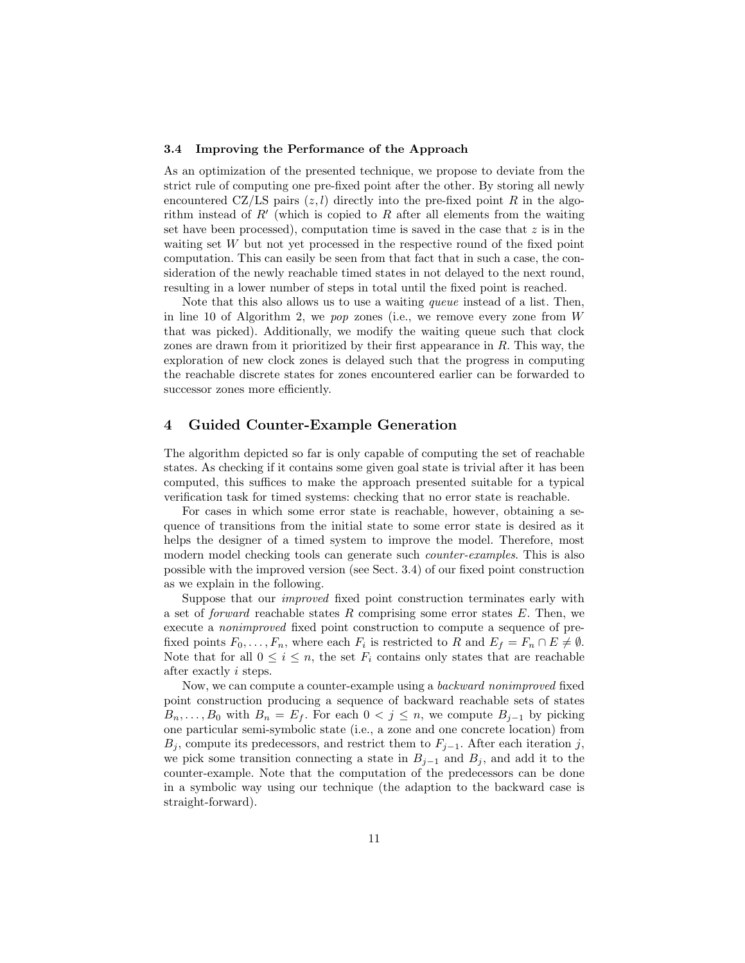#### <span id="page-10-1"></span>3.4 Improving the Performance of the Approach

As an optimization of the presented technique, we propose to deviate from the strict rule of computing one pre-fixed point after the other. By storing all newly encountered CZ/LS pairs  $(z, l)$  directly into the pre-fixed point R in the algorithm instead of  $R'$  (which is copied to  $R$  after all elements from the waiting set have been processed), computation time is saved in the case that  $z$  is in the waiting set W but not yet processed in the respective round of the fixed point computation. This can easily be seen from that fact that in such a case, the consideration of the newly reachable timed states in not delayed to the next round, resulting in a lower number of steps in total until the fixed point is reached.

Note that this also allows us to use a waiting queue instead of a list. Then, in line 10 of Algorithm [2,](#page-8-0) we pop zones (i.e., we remove every zone from  $W$ that was picked). Additionally, we modify the waiting queue such that clock zones are drawn from it prioritized by their first appearance in R. This way, the exploration of new clock zones is delayed such that the progress in computing the reachable discrete states for zones encountered earlier can be forwarded to successor zones more efficiently.

### <span id="page-10-0"></span>4 Guided Counter-Example Generation

The algorithm depicted so far is only capable of computing the set of reachable states. As checking if it contains some given goal state is trivial after it has been computed, this suffices to make the approach presented suitable for a typical verification task for timed systems: checking that no error state is reachable.

For cases in which some error state is reachable, however, obtaining a sequence of transitions from the initial state to some error state is desired as it helps the designer of a timed system to improve the model. Therefore, most modern model checking tools can generate such *counter-examples*. This is also possible with the improved version (see Sect. [3.4\)](#page-10-1) of our fixed point construction as we explain in the following.

Suppose that our improved fixed point construction terminates early with a set of *forward* reachable states R comprising some error states  $E$ . Then, we execute a nonimproved fixed point construction to compute a sequence of prefixed points  $F_0, \ldots, F_n$ , where each  $F_i$  is restricted to R and  $E_f = F_n \cap E \neq \emptyset$ . Note that for all  $0 \leq i \leq n$ , the set  $F_i$  contains only states that are reachable after exactly i steps.

Now, we can compute a counter-example using a backward nonimproved fixed point construction producing a sequence of backward reachable sets of states  $B_n, \ldots, B_0$  with  $B_n = E_f$ . For each  $0 < j \leq n$ , we compute  $B_{j-1}$  by picking one particular semi-symbolic state (i.e., a zone and one concrete location) from  $B_j$ , compute its predecessors, and restrict them to  $F_{j-1}$ . After each iteration j, we pick some transition connecting a state in  $B_{j-1}$  and  $B_j$ , and add it to the counter-example. Note that the computation of the predecessors can be done in a symbolic way using our technique (the adaption to the backward case is straight-forward).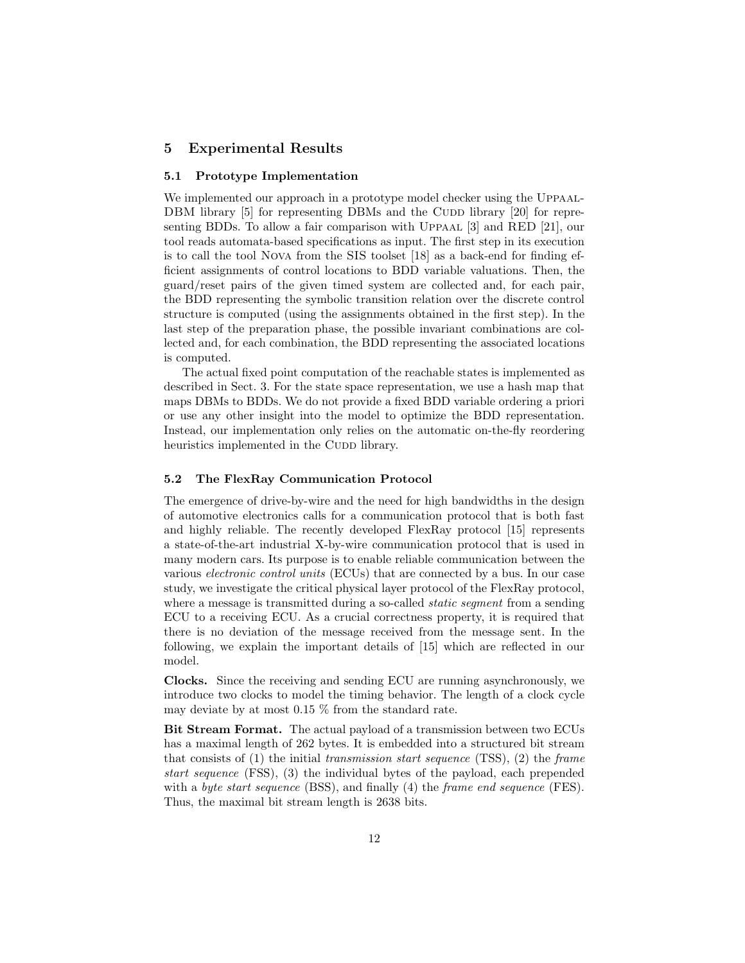# <span id="page-11-0"></span>5 Experimental Results

#### 5.1 Prototype Implementation

We implemented our approach in a prototype model checker using the Uppaal-DBM library  $[5]$  for representing DBMs and the CUDD library  $[20]$  for repre-senting BDDs. To allow a fair comparison with UPPAAL [\[3\]](#page-14-0) and RED [\[21\]](#page-15-3), our tool reads automata-based specifications as input. The first step in its execution is to call the tool Nova from the SIS toolset [\[18\]](#page-15-16) as a back-end for finding efficient assignments of control locations to BDD variable valuations. Then, the guard/reset pairs of the given timed system are collected and, for each pair, the BDD representing the symbolic transition relation over the discrete control structure is computed (using the assignments obtained in the first step). In the last step of the preparation phase, the possible invariant combinations are collected and, for each combination, the BDD representing the associated locations is computed.

The actual fixed point computation of the reachable states is implemented as described in Sect. [3.](#page-6-0) For the state space representation, we use a hash map that maps DBMs to BDDs. We do not provide a fixed BDD variable ordering a priori or use any other insight into the model to optimize the BDD representation. Instead, our implementation only relies on the automatic on-the-fly reordering heuristics implemented in the Cupp library.

### 5.2 The FlexRay Communication Protocol

The emergence of drive-by-wire and the need for high bandwidths in the design of automotive electronics calls for a communication protocol that is both fast and highly reliable. The recently developed FlexRay protocol [\[15\]](#page-15-1) represents a state-of-the-art industrial X-by-wire communication protocol that is used in many modern cars. Its purpose is to enable reliable communication between the various electronic control units (ECUs) that are connected by a bus. In our case study, we investigate the critical physical layer protocol of the FlexRay protocol, where a message is transmitted during a so-called *static segment* from a sending ECU to a receiving ECU. As a crucial correctness property, it is required that there is no deviation of the message received from the message sent. In the following, we explain the important details of [\[15\]](#page-15-1) which are reflected in our model.

Clocks. Since the receiving and sending ECU are running asynchronously, we introduce two clocks to model the timing behavior. The length of a clock cycle may deviate by at most 0.15 % from the standard rate.

Bit Stream Format. The actual payload of a transmission between two ECUs has a maximal length of 262 bytes. It is embedded into a structured bit stream that consists of  $(1)$  the initial transmission start sequence  $(TSS)$ ,  $(2)$  the frame start sequence (FSS), (3) the individual bytes of the payload, each prepended with a byte start sequence (BSS), and finally (4) the frame end sequence (FES). Thus, the maximal bit stream length is 2638 bits.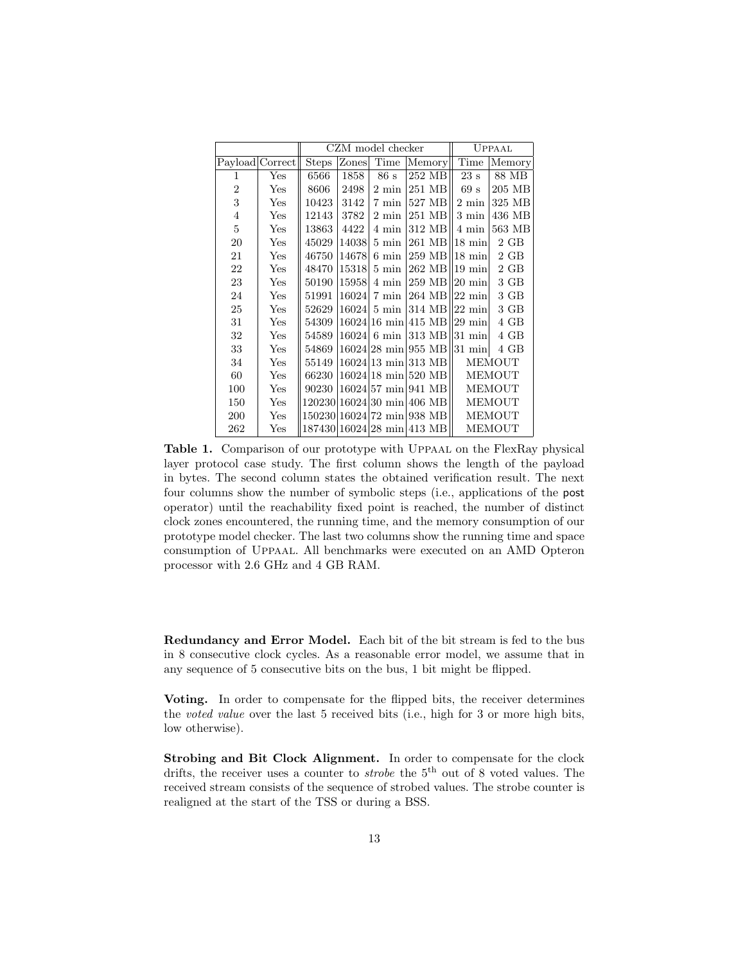|                 |     |              | CZM model checker | UPPAAL                  |                                       |                  |        |  |
|-----------------|-----|--------------|-------------------|-------------------------|---------------------------------------|------------------|--------|--|
| Payload Correct |     | <b>Steps</b> | Zones             | Time                    | Memory                                | Time             | Memory |  |
| 1               | Yes | 6566         | 1858              | 86s                     | 252 MB                                | 23 s             | 88 MB  |  |
| $\overline{2}$  | Yes | 8606         | 2498              | $2 \text{ min}$         | 251 MB                                | 69s              | 205 MB |  |
| 3               | Yes | 10423        | 3142              | 7 min                   | 527 MB                                | $2 \text{ min}$  | 325 MB |  |
| $\overline{4}$  | Yes | 12143        | 3782              | $2 \text{ min}$         | 251 MB                                | $3 \text{ min}$  | 436 MB |  |
| $\overline{5}$  | Yes | 13863        | 4422              | 4 min                   | 312 MB                                | 4 min            | 563 MB |  |
| 20              | Yes | 45029        | 14038             | $5 \text{ min}$         | 261 MB                                | $18 \text{ min}$ | $2$ GB |  |
| 21              | Yes | 46750        | 14678             | $6 \text{ min}$         | 259 MB                                | $18 \text{ min}$ | $2$ GB |  |
| 22              | Yes | 48470        | 15318             | $5 \text{ min}$         | 262 MB                                | $19 \text{ min}$ | $2$ GB |  |
| 23              | Yes | 50190        | 15958             | 4 min                   | 259 MB                                | $20 \text{ min}$ | $3$ GB |  |
| 24              | Yes | 51991        | 16024             | 7 min                   | 264 MB                                | $22 \text{ min}$ | $3$ GB |  |
| 25              | Yes | 52629        | 16024             | $5 \text{ min}$         | 314 MB                                | $22 \text{ min}$ | $3$ GB |  |
| 31              | Yes | 54309        |                   | $16024 16 \text{ min} $ | 415 MB                                | $29 \text{ min}$ | 4 GB   |  |
| 32              | Yes | 54589        | 16024             | $6 \text{ min}$         | 313 MB                                | $31 \text{ min}$ | 4 GB   |  |
| 33              | Yes | 54869        |                   |                         | 16024 28 min 955 MB                   | $31 \text{ min}$ | $4$ GB |  |
| 34              | Yes | 55149        |                   |                         | $16024 13 \text{ min} 313 \text{ MB}$ | MEMOUT           |        |  |
| 60              | Yes | 66230        |                   |                         | 16024 18 min 520 MB                   | <b>MEMOUT</b>    |        |  |
| 100             | Yes | 90230        |                   |                         | 16024 57 min 941 MB                   | MEMOUT           |        |  |
| 150             | Yes |              |                   |                         | 120230 16024 30 min 406 MB            | MEMOUT           |        |  |
| 200             | Yes |              |                   |                         | 150230 16024 72 min 938 MB            | MEMOUT           |        |  |
| 262             | Yes |              |                   |                         | 187430 16024 28 min 413 MB            | MEMOUT           |        |  |

<span id="page-12-0"></span>Table 1. Comparison of our prototype with UPPAAL on the FlexRay physical layer protocol case study. The first column shows the length of the payload in bytes. The second column states the obtained verification result. The next four columns show the number of symbolic steps (i.e., applications of the post operator) until the reachability fixed point is reached, the number of distinct clock zones encountered, the running time, and the memory consumption of our prototype model checker. The last two columns show the running time and space consumption of Uppaal. All benchmarks were executed on an AMD Opteron processor with 2.6 GHz and 4 GB RAM.

Redundancy and Error Model. Each bit of the bit stream is fed to the bus in 8 consecutive clock cycles. As a reasonable error model, we assume that in any sequence of 5 consecutive bits on the bus, 1 bit might be flipped.

Voting. In order to compensate for the flipped bits, the receiver determines the voted value over the last 5 received bits (i.e., high for 3 or more high bits, low otherwise).

Strobing and Bit Clock Alignment. In order to compensate for the clock drifts, the receiver uses a counter to *strobe* the  $5<sup>th</sup>$  out of 8 voted values. The received stream consists of the sequence of strobed values. The strobe counter is realigned at the start of the TSS or during a BSS.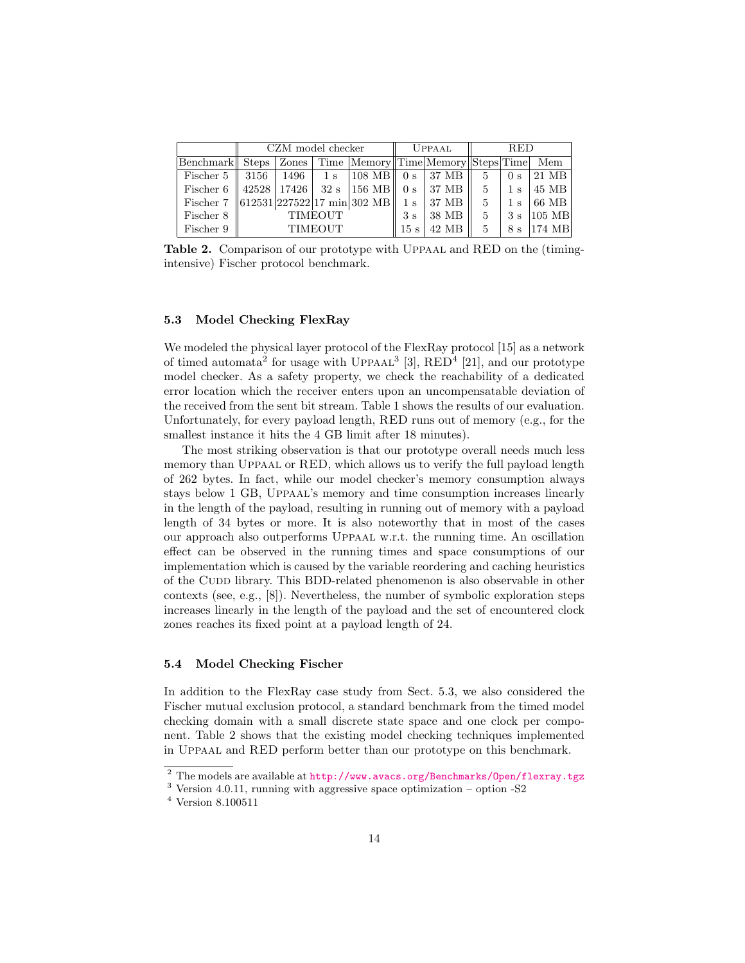|                                                                                         | CZM model checker |  |                |                                 | <b>UPPAAL</b> |                | <b>RED</b>     |                    |          |
|-----------------------------------------------------------------------------------------|-------------------|--|----------------|---------------------------------|---------------|----------------|----------------|--------------------|----------|
| Benchmark   Steps   Zones   Time   Memory  Time  Memory  Steps  Time   Mem              |                   |  |                |                                 |               |                |                |                    |          |
| Fischer 5    3156   1496   1 s   108 MB    0 s   37 MB                                  |                   |  |                |                                 |               |                | $5-1$          | 0 <sub>s</sub>     | $121$ MB |
| Fischer 6                                                                               |                   |  |                | $42528$   17426   32 s   156 MB |               | $0 s$   37 MB  | $\overline{5}$ | 1 <sub>s</sub>     | 45 MB    |
| Fischer 7 $  612531 227522 17 \text{ min} 302 \text{ MB}   1 \text{ s}   37 \text{ MB}$ |                   |  |                |                                 |               |                | $\frac{5}{2}$  | 1 s                | 66 MB    |
| Fischer 8                                                                               |                   |  | TIMEOUT        | 3s                              | 38 MB         | $\overline{5}$ | 3s             | $ 105 \text{ MB} $ |          |
| Fischer 9                                                                               |                   |  | <b>TIMEOUT</b> | 15 s                            | 42 MB         | 5              | 8 s            | $174 \text{ MB}$   |          |

<span id="page-13-4"></span>Table 2. Comparison of our prototype with UPPAAL and RED on the (timingintensive) Fischer protocol benchmark.

# <span id="page-13-3"></span>5.3 Model Checking FlexRay

We modeled the physical layer protocol of the FlexRay protocol [\[15\]](#page-15-1) as a network of timed automata<sup>[2](#page-13-0)</sup> for usage with UPPAAL<sup>[3](#page-13-1)</sup> [\[3\]](#page-14-0), RED<sup>[4](#page-13-2)</sup> [\[21\]](#page-15-3), and our prototype model checker. As a safety property, we check the reachability of a dedicated error location which the receiver enters upon an uncompensatable deviation of the received from the sent bit stream. Table [1](#page-12-0) shows the results of our evaluation. Unfortunately, for every payload length, RED runs out of memory (e.g., for the smallest instance it hits the 4 GB limit after 18 minutes).

The most striking observation is that our prototype overall needs much less memory than UPPAAL or RED, which allows us to verify the full payload length of 262 bytes. In fact, while our model checker's memory consumption always stays below 1 GB, Uppaal's memory and time consumption increases linearly in the length of the payload, resulting in running out of memory with a payload length of 34 bytes or more. It is also noteworthy that in most of the cases our approach also outperforms Uppaal w.r.t. the running time. An oscillation effect can be observed in the running times and space consumptions of our implementation which is caused by the variable reordering and caching heuristics of the Cudd library. This BDD-related phenomenon is also observable in other contexts (see, e.g., [\[8\]](#page-15-17)). Nevertheless, the number of symbolic exploration steps increases linearly in the length of the payload and the set of encountered clock zones reaches its fixed point at a payload length of 24.

# 5.4 Model Checking Fischer

In addition to the FlexRay case study from Sect. [5.3,](#page-13-3) we also considered the Fischer mutual exclusion protocol, a standard benchmark from the timed model checking domain with a small discrete state space and one clock per component. Table [2](#page-13-4) shows that the existing model checking techniques implemented in Uppaal and RED perform better than our prototype on this benchmark.

<span id="page-13-0"></span><sup>&</sup>lt;sup>2</sup> The models are available at <http://www.avacs.org/Benchmarks/Open/flexray.tgz>

<span id="page-13-1"></span> $3$  Version 4.0.11, running with aggressive space optimization – option -S2

<span id="page-13-2"></span> $^4$  Version  $8.100511\,$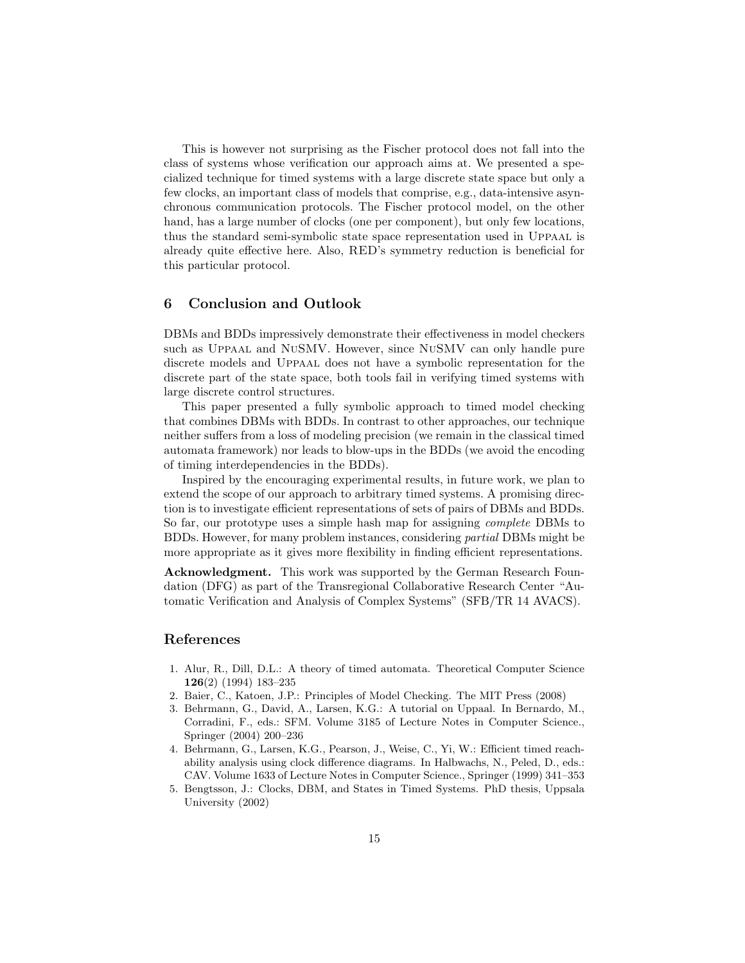This is however not surprising as the Fischer protocol does not fall into the class of systems whose verification our approach aims at. We presented a specialized technique for timed systems with a large discrete state space but only a few clocks, an important class of models that comprise, e.g., data-intensive asynchronous communication protocols. The Fischer protocol model, on the other hand, has a large number of clocks (one per component), but only few locations, thus the standard semi-symbolic state space representation used in Uppaal is already quite effective here. Also, RED's symmetry reduction is beneficial for this particular protocol.

# <span id="page-14-3"></span>6 Conclusion and Outlook

DBMs and BDDs impressively demonstrate their effectiveness in model checkers such as UPPAAL and NUSMV. However, since NUSMV can only handle pure discrete models and Uppaal does not have a symbolic representation for the discrete part of the state space, both tools fail in verifying timed systems with large discrete control structures.

This paper presented a fully symbolic approach to timed model checking that combines DBMs with BDDs. In contrast to other approaches, our technique neither suffers from a loss of modeling precision (we remain in the classical timed automata framework) nor leads to blow-ups in the BDDs (we avoid the encoding of timing interdependencies in the BDDs).

Inspired by the encouraging experimental results, in future work, we plan to extend the scope of our approach to arbitrary timed systems. A promising direction is to investigate efficient representations of sets of pairs of DBMs and BDDs. So far, our prototype uses a simple hash map for assigning complete DBMs to BDDs. However, for many problem instances, considering partial DBMs might be more appropriate as it gives more flexibility in finding efficient representations.

Acknowledgment. This work was supported by the German Research Foundation (DFG) as part of the Transregional Collaborative Research Center "Automatic Verification and Analysis of Complex Systems" (SFB/TR 14 AVACS).

# References

- <span id="page-14-1"></span>1. Alur, R., Dill, D.L.: A theory of timed automata. Theoretical Computer Science 126(2) (1994) 183–235
- <span id="page-14-5"></span>2. Baier, C., Katoen, J.P.: Principles of Model Checking. The MIT Press (2008)
- <span id="page-14-0"></span>3. Behrmann, G., David, A., Larsen, K.G.: A tutorial on Uppaal. In Bernardo, M., Corradini, F., eds.: SFM. Volume 3185 of Lecture Notes in Computer Science., Springer (2004) 200–236
- <span id="page-14-2"></span>4. Behrmann, G., Larsen, K.G., Pearson, J., Weise, C., Yi, W.: Efficient timed reachability analysis using clock difference diagrams. In Halbwachs, N., Peled, D., eds.: CAV. Volume 1633 of Lecture Notes in Computer Science., Springer (1999) 341–353
- <span id="page-14-4"></span>5. Bengtsson, J.: Clocks, DBM, and States in Timed Systems. PhD thesis, Uppsala University (2002)